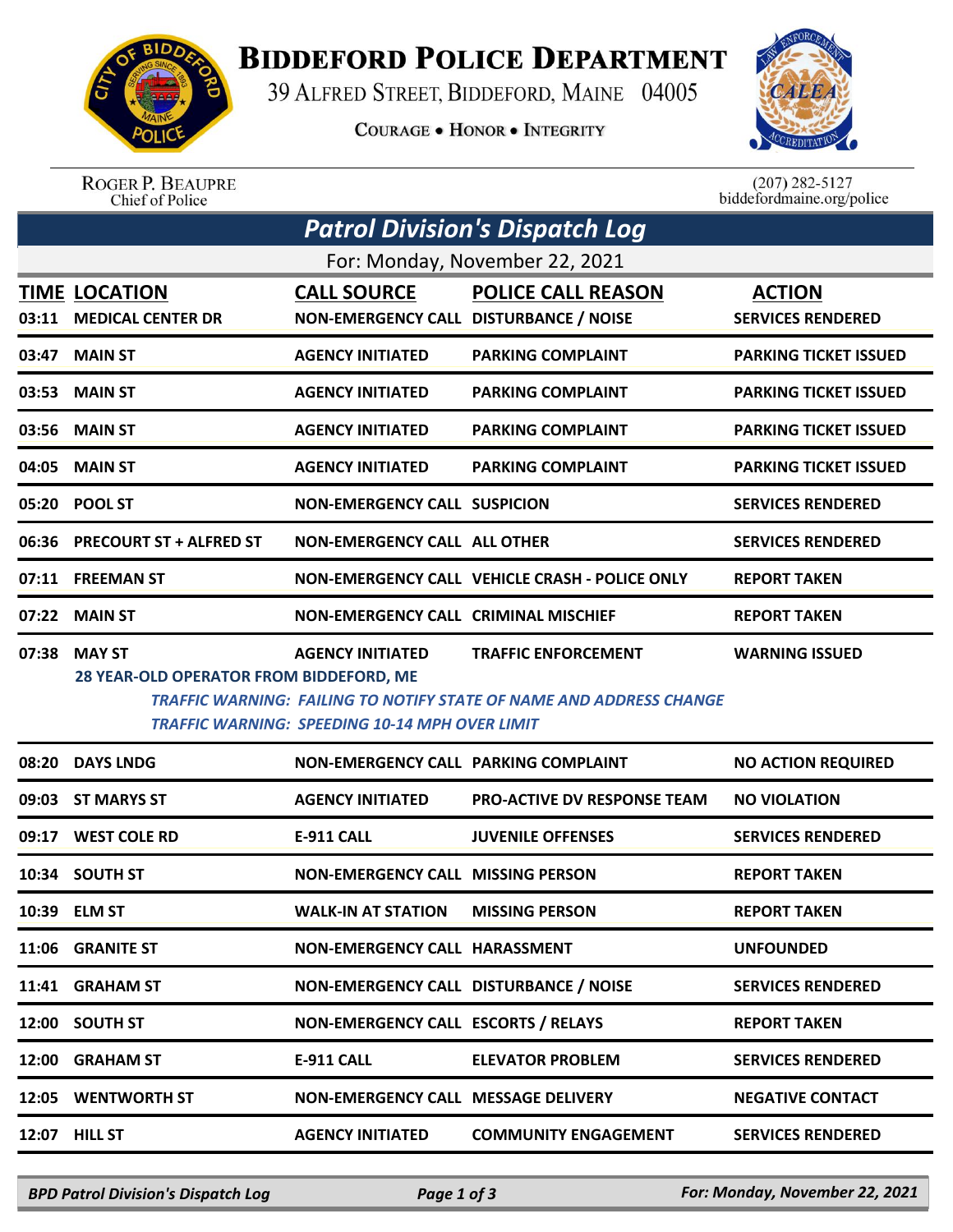

## **BIDDEFORD POLICE DEPARTMENT**

39 ALFRED STREET, BIDDEFORD, MAINE 04005

**COURAGE . HONOR . INTEGRITY** 

*Patrol Division's Dispatch Log*



ROGER P. BEAUPRE<br>Chief of Police

 $(207)$  282-5127<br>biddefordmaine.org/police

|       |                                                          |                                                                                  | For: Monday, November 22, 2021                                                                           |                                           |
|-------|----------------------------------------------------------|----------------------------------------------------------------------------------|----------------------------------------------------------------------------------------------------------|-------------------------------------------|
| 03:11 | <b>TIME LOCATION</b><br><b>MEDICAL CENTER DR</b>         | <b>CALL SOURCE</b><br>NON-EMERGENCY CALL DISTURBANCE / NOISE                     | <b>POLICE CALL REASON</b>                                                                                | <b>ACTION</b><br><b>SERVICES RENDERED</b> |
|       | 03:47 MAIN ST                                            | <b>AGENCY INITIATED</b>                                                          | <b>PARKING COMPLAINT</b>                                                                                 | <b>PARKING TICKET ISSUED</b>              |
|       | 03:53 MAIN ST                                            | <b>AGENCY INITIATED</b>                                                          | <b>PARKING COMPLAINT</b>                                                                                 | <b>PARKING TICKET ISSUED</b>              |
|       | 03:56 MAIN ST                                            | <b>AGENCY INITIATED</b>                                                          | <b>PARKING COMPLAINT</b>                                                                                 | <b>PARKING TICKET ISSUED</b>              |
|       | 04:05 MAIN ST                                            | <b>AGENCY INITIATED</b>                                                          | <b>PARKING COMPLAINT</b>                                                                                 | <b>PARKING TICKET ISSUED</b>              |
|       | 05:20 POOL ST                                            | <b>NON-EMERGENCY CALL SUSPICION</b>                                              |                                                                                                          | <b>SERVICES RENDERED</b>                  |
| 06:36 | <b>PRECOURT ST + ALFRED ST</b>                           | <b>NON-EMERGENCY CALL ALL OTHER</b>                                              |                                                                                                          | <b>SERVICES RENDERED</b>                  |
|       | 07:11 FREEMAN ST                                         |                                                                                  | NON-EMERGENCY CALL VEHICLE CRASH - POLICE ONLY                                                           | <b>REPORT TAKEN</b>                       |
| 07:22 | <b>MAIN ST</b>                                           | <b>NON-EMERGENCY CALL CRIMINAL MISCHIEF</b>                                      |                                                                                                          | <b>REPORT TAKEN</b>                       |
| 07:38 | <b>MAY ST</b><br>28 YEAR-OLD OPERATOR FROM BIDDEFORD, ME | <b>AGENCY INITIATED</b><br><b>TRAFFIC WARNING: SPEEDING 10-14 MPH OVER LIMIT</b> | <b>TRAFFIC ENFORCEMENT</b><br><b>TRAFFIC WARNING: FAILING TO NOTIFY STATE OF NAME AND ADDRESS CHANGE</b> | <b>WARNING ISSUED</b>                     |
| 08:20 | <b>DAYS LNDG</b>                                         | NON-EMERGENCY CALL PARKING COMPLAINT                                             |                                                                                                          | <b>NO ACTION REQUIRED</b>                 |
| 09:03 | <b>ST MARYS ST</b>                                       | <b>AGENCY INITIATED</b>                                                          | <b>PRO-ACTIVE DV RESPONSE TEAM</b>                                                                       | <b>NO VIOLATION</b>                       |
| 09:17 | <b>WEST COLE RD</b>                                      | <b>E-911 CALL</b>                                                                | <b>JUVENILE OFFENSES</b>                                                                                 | <b>SERVICES RENDERED</b>                  |
| 10:34 | <b>SOUTH ST</b>                                          | <b>NON-EMERGENCY CALL MISSING PERSON</b>                                         |                                                                                                          | <b>REPORT TAKEN</b>                       |
|       | 10:39 ELM ST                                             | <b>WALK-IN AT STATION</b>                                                        | <b>MISSING PERSON</b>                                                                                    | <b>REPORT TAKEN</b>                       |
| 11:06 | <b>GRANITE ST</b>                                        | NON-EMERGENCY CALL HARASSMENT                                                    |                                                                                                          | <b>UNFOUNDED</b>                          |
| 11:41 | <b>GRAHAM ST</b>                                         | NON-EMERGENCY CALL DISTURBANCE / NOISE                                           |                                                                                                          | <b>SERVICES RENDERED</b>                  |
| 12:00 | <b>SOUTH ST</b>                                          | NON-EMERGENCY CALL ESCORTS / RELAYS                                              |                                                                                                          | <b>REPORT TAKEN</b>                       |
| 12:00 | <b>GRAHAM ST</b>                                         | <b>E-911 CALL</b>                                                                | <b>ELEVATOR PROBLEM</b>                                                                                  | <b>SERVICES RENDERED</b>                  |
| 12:05 | <b>WENTWORTH ST</b>                                      | NON-EMERGENCY CALL MESSAGE DELIVERY                                              |                                                                                                          | <b>NEGATIVE CONTACT</b>                   |
| 12:07 | <b>HILL ST</b>                                           | <b>AGENCY INITIATED</b>                                                          | <b>COMMUNITY ENGAGEMENT</b>                                                                              | <b>SERVICES RENDERED</b>                  |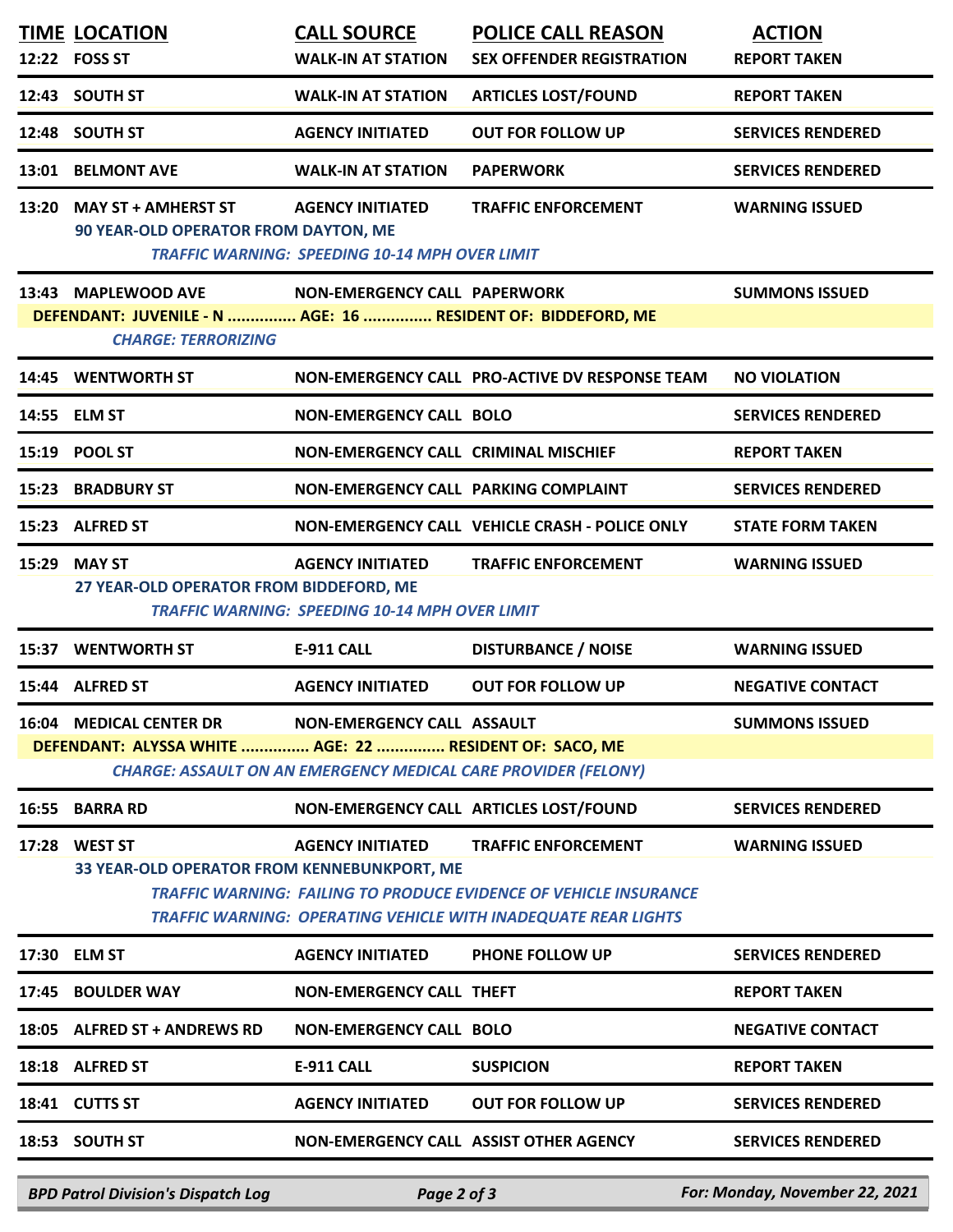|       | <b>TIME LOCATION</b><br>12:22 FOSS ST                                                                             | <b>CALL SOURCE</b><br><b>WALK-IN AT STATION</b>                                  | <b>POLICE CALL REASON</b><br><b>SEX OFFENDER REGISTRATION</b>                                                                                                            | <b>ACTION</b><br><b>REPORT TAKEN</b> |
|-------|-------------------------------------------------------------------------------------------------------------------|----------------------------------------------------------------------------------|--------------------------------------------------------------------------------------------------------------------------------------------------------------------------|--------------------------------------|
|       | 12:43 SOUTH ST                                                                                                    | <b>WALK-IN AT STATION</b>                                                        | <b>ARTICLES LOST/FOUND</b>                                                                                                                                               | <b>REPORT TAKEN</b>                  |
|       | 12:48 SOUTH ST                                                                                                    | <b>AGENCY INITIATED</b>                                                          | <b>OUT FOR FOLLOW UP</b>                                                                                                                                                 | <b>SERVICES RENDERED</b>             |
| 13:01 | <b>BELMONT AVE</b>                                                                                                | <b>WALK-IN AT STATION</b>                                                        | <b>PAPERWORK</b>                                                                                                                                                         | <b>SERVICES RENDERED</b>             |
| 13:20 | <b>MAY ST + AMHERST ST</b><br>90 YEAR-OLD OPERATOR FROM DAYTON, ME                                                | <b>AGENCY INITIATED</b><br><b>TRAFFIC WARNING: SPEEDING 10-14 MPH OVER LIMIT</b> | <b>TRAFFIC ENFORCEMENT</b>                                                                                                                                               | <b>WARNING ISSUED</b>                |
|       | 13:43 MAPLEWOOD AVE<br>DEFENDANT: JUVENILE - N  AGE: 16  RESIDENT OF: BIDDEFORD, ME<br><b>CHARGE: TERRORIZING</b> | NON-EMERGENCY CALL PAPERWORK                                                     |                                                                                                                                                                          | <b>SUMMONS ISSUED</b>                |
|       | 14:45 WENTWORTH ST                                                                                                |                                                                                  | NON-EMERGENCY CALL PRO-ACTIVE DV RESPONSE TEAM                                                                                                                           | <b>NO VIOLATION</b>                  |
|       | 14:55 ELM ST                                                                                                      | <b>NON-EMERGENCY CALL BOLO</b>                                                   |                                                                                                                                                                          | <b>SERVICES RENDERED</b>             |
|       | 15:19 POOL ST                                                                                                     | NON-EMERGENCY CALL CRIMINAL MISCHIEF                                             |                                                                                                                                                                          | <b>REPORT TAKEN</b>                  |
|       | 15:23 BRADBURY ST                                                                                                 | NON-EMERGENCY CALL PARKING COMPLAINT                                             |                                                                                                                                                                          | <b>SERVICES RENDERED</b>             |
|       | 15:23 ALFRED ST                                                                                                   |                                                                                  | NON-EMERGENCY CALL VEHICLE CRASH - POLICE ONLY                                                                                                                           | <b>STATE FORM TAKEN</b>              |
| 15:29 | <b>MAY ST</b><br>27 YEAR-OLD OPERATOR FROM BIDDEFORD, ME                                                          | <b>AGENCY INITIATED</b><br><b>TRAFFIC WARNING: SPEEDING 10-14 MPH OVER LIMIT</b> | <b>TRAFFIC ENFORCEMENT</b>                                                                                                                                               | <b>WARNING ISSUED</b>                |
|       | 15:37 WENTWORTH ST                                                                                                | E-911 CALL                                                                       | <b>DISTURBANCE / NOISE</b>                                                                                                                                               | <b>WARNING ISSUED</b>                |
|       | 15:44 ALFRED ST                                                                                                   | <b>AGENCY INITIATED</b>                                                          | <b>OUT FOR FOLLOW UP</b>                                                                                                                                                 | <b>NEGATIVE CONTACT</b>              |
|       | <b>16:04 MEDICAL CENTER DR</b><br>DEFENDANT: ALYSSA WHITE  AGE: 22  RESIDENT OF: SACO, ME                         | <b>NON-EMERGENCY CALL ASSAULT</b>                                                | <b>CHARGE: ASSAULT ON AN EMERGENCY MEDICAL CARE PROVIDER (FELONY)</b>                                                                                                    | <b>SUMMONS ISSUED</b>                |
| 16:55 | <b>BARRA RD</b>                                                                                                   |                                                                                  | NON-EMERGENCY CALL ARTICLES LOST/FOUND                                                                                                                                   | <b>SERVICES RENDERED</b>             |
|       | 17:28 WEST ST<br>33 YEAR-OLD OPERATOR FROM KENNEBUNKPORT, ME                                                      | <b>AGENCY INITIATED</b>                                                          | <b>TRAFFIC ENFORCEMENT</b><br><b>TRAFFIC WARNING: FAILING TO PRODUCE EVIDENCE OF VEHICLE INSURANCE</b><br>TRAFFIC WARNING: OPERATING VEHICLE WITH INADEQUATE REAR LIGHTS | <b>WARNING ISSUED</b>                |
|       | 17:30 ELM ST                                                                                                      | <b>AGENCY INITIATED</b>                                                          | PHONE FOLLOW UP                                                                                                                                                          | <b>SERVICES RENDERED</b>             |
|       | 17:45 BOULDER WAY                                                                                                 | <b>NON-EMERGENCY CALL THEFT</b>                                                  |                                                                                                                                                                          | <b>REPORT TAKEN</b>                  |
|       | 18:05 ALFRED ST + ANDREWS RD                                                                                      | <b>NON-EMERGENCY CALL BOLO</b>                                                   |                                                                                                                                                                          | <b>NEGATIVE CONTACT</b>              |
|       | 18:18 ALFRED ST                                                                                                   | E-911 CALL                                                                       | <b>SUSPICION</b>                                                                                                                                                         | <b>REPORT TAKEN</b>                  |
|       | 18:41 CUTTS ST                                                                                                    | <b>AGENCY INITIATED</b>                                                          | <b>OUT FOR FOLLOW UP</b>                                                                                                                                                 | <b>SERVICES RENDERED</b>             |
|       | 18:53 SOUTH ST                                                                                                    |                                                                                  | NON-EMERGENCY CALL ASSIST OTHER AGENCY                                                                                                                                   | <b>SERVICES RENDERED</b>             |

*BPD Patrol Division's Dispatch Log Page 2 of 3 For: Monday, November 22, 2021*